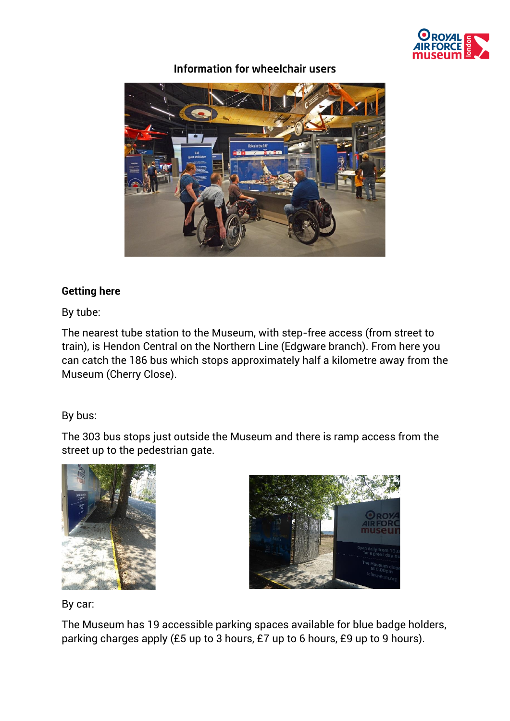

Information for wheelchair users



## **Getting here**

By tube:

The nearest tube station to the Museum, with step-free access (from street to train), is Hendon Central on the Northern Line (Edgware branch). From here you can catch the 186 bus which stops approximately half a kilometre away from the Museum (Cherry Close).

## By bus:

The 303 bus stops just outside the Museum and there is ramp access from the street up to the pedestrian gate.





By car:

The Museum has 19 accessible parking spaces available for blue badge holders, parking charges apply (£5 up to 3 hours, £7 up to 6 hours, £9 up to 9 hours).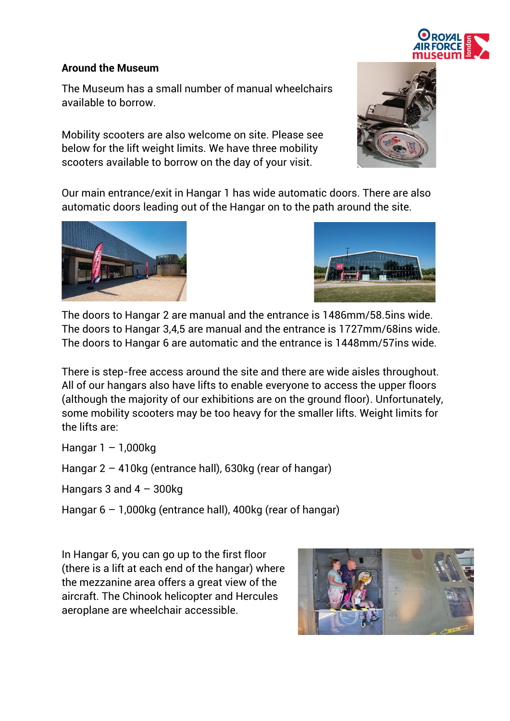

## **Around the Museum**

The Museum has a small number of manual wheelchairs available to borrow.

Mobility scooters are also welcome on site. Please see below for the lift weight limits. We have three mobility scooters available to borrow on the day of your visit.



Our main entrance/exit in Hangar 1 has wide automatic doors. There are also automatic doors leading out of the Hangar on to the path around the site.





The doors to Hangar 2 are manual and the entrance is 1486mm/58.5ins wide. The doors to Hangar 3,4,5 are manual and the entrance is 1727mm/68ins wide. The doors to Hangar 6 are automatic and the entrance is 1448mm/57ins wide.

There is step-free access around the site and there are wide aisles throughout. All of our hangars also have lifts to enable everyone to access the upper floors (although the majority of our exhibitions are on the ground floor). Unfortunately, some mobility scooters may be too heavy for the smaller lifts. Weight limits for the lifts are:

Hangar  $1 - 1,000$ kg

Hangar 2 – 410kg (entrance hall), 630kg (rear of hangar)

Hangars 3 and  $4 - 300$ kg

Hangar 6 – 1,000kg (entrance hall), 400kg (rear of hangar)

In Hangar 6, you can go up to the first floor (there is a lift at each end of the hangar) where the mezzanine area offers a great view of the aircraft. The Chinook helicopter and Hercules aeroplane are wheelchair accessible.